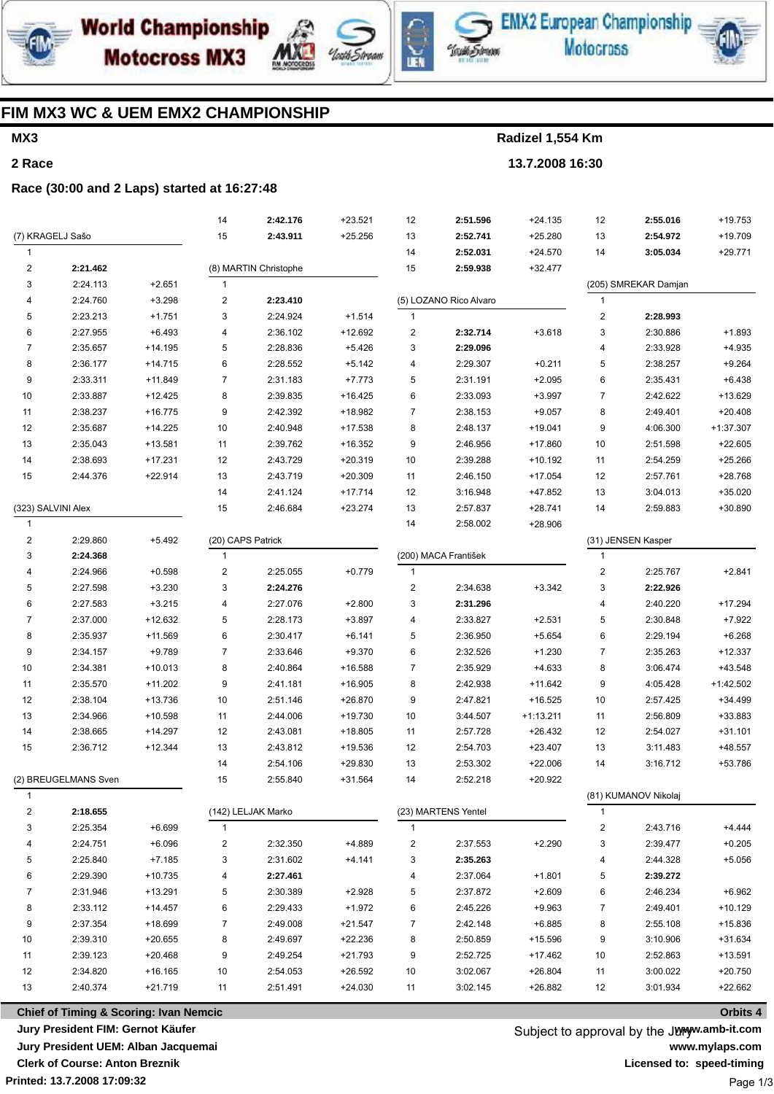

**World Championship Motocross MX3** 





EMX2 European Championship **Motocross** 



### FIM MX3 WC & UEM EMX2 CHAMPIONSHIP

### MX3

2 Race

Radizel 1,554 Km

13.7.2008 16:30

### Race (30:00 and 2 Laps) started at 16:27:48

|                         |                                                   |           | 14                | 2:42.176              | $+23.521$ | 12                      | 2:51.596               | $+24.135$   | 12                   | 2:55.016             | $+19.753$   |
|-------------------------|---------------------------------------------------|-----------|-------------------|-----------------------|-----------|-------------------------|------------------------|-------------|----------------------|----------------------|-------------|
| (7) KRAGELJ Sašo        |                                                   |           | 15                | 2:43.911              | $+25.256$ | 13                      | 2:52.741               | $+25.280$   | 13                   | 2:54.972             | +19.709     |
| 1                       |                                                   |           |                   |                       |           | 14                      | 2:52.031               | $+24.570$   | 14                   | 3:05.034             | $+29.771$   |
| 2                       | 2:21.462                                          |           |                   | (8) MARTIN Christophe |           | 15                      | 2:59.938               | $+32.477$   |                      |                      |             |
| 3                       | 2:24.113                                          | $+2.651$  | $\mathbf{1}$      |                       |           |                         |                        |             |                      | (205) SMREKAR Damjan |             |
| 4                       | 2:24.760                                          | $+3.298$  | 2                 | 2:23.410              |           |                         | (5) LOZANO Rico Alvaro |             | $\mathbf{1}$         |                      |             |
| 5                       | 2:23.213                                          | $+1.751$  | 3                 | 2:24.924              | $+1.514$  | $\mathbf{1}$            |                        |             | $\overline{c}$       | 2:28.993             |             |
| 6                       | 2:27.955                                          | $+6.493$  | 4                 | 2:36.102              | $+12.692$ | $\overline{\mathbf{c}}$ | 2:32.714               | $+3.618$    | 3                    | 2:30.886             | $+1.893$    |
| $\overline{7}$          | 2:35.657                                          | $+14.195$ | 5                 | 2:28.836              | $+5.426$  | 3                       | 2:29.096               |             | 4                    | 2:33.928             | $+4.935$    |
| 8                       | 2:36.177                                          | $+14.715$ | 6                 | 2:28.552              | $+5.142$  | 4                       | 2:29.307               | $+0.211$    | 5                    | 2:38.257             | $+9.264$    |
| 9                       | 2:33.311                                          | $+11.849$ | $\overline{7}$    | 2:31.183              | $+7.773$  | 5                       | 2:31.191               | $+2.095$    | 6                    | 2:35.431             | $+6.438$    |
| 10                      | 2:33.887                                          | $+12.425$ | 8                 | 2:39.835              | $+16.425$ | 6                       | 2:33.093               | $+3.997$    | 7                    | 2:42.622             | +13.629     |
| 11                      | 2:38.237                                          | $+16.775$ | 9                 | 2:42.392              | $+18.982$ | $\overline{7}$          | 2:38.153               | $+9.057$    | 8                    | 2:49.401             | $+20.408$   |
| 12                      | 2:35.687                                          | $+14.225$ | 10                | 2:40.948              | +17.538   | 8                       | 2:48.137               | $+19.041$   | 9                    | 4:06.300             | $+1:37.307$ |
| 13                      | 2:35.043                                          | $+13.581$ | 11                | 2:39.762              | $+16.352$ | 9                       | 2:46.956               | +17.860     | 10                   | 2:51.598             | $+22.605$   |
| 14                      | 2:38.693                                          | $+17.231$ | 12                | 2:43.729              | $+20.319$ | 10                      | 2:39.288               | +10.192     | 11                   | 2:54.259             | $+25.266$   |
| 15                      | 2:44.376                                          | $+22.914$ | 13                | 2:43.719              | $+20.309$ | 11                      | 2:46.150               | $+17.054$   | 12                   | 2:57.761             | +28.768     |
|                         |                                                   |           | 14                | 2:41.124              | $+17.714$ | 12                      | 3:16.948               | +47.852     | 13                   | 3:04.013             | $+35.020$   |
| (323) SALVINI Alex      |                                                   | 15        | 2:46.684          | $+23.274$             | 13        | 2:57.837                | $+28.741$              | 14          | 2:59.883             | +30.890              |             |
| $\mathbf{1}$            |                                                   |           |                   |                       |           | 14                      | 2:58.002               | $+28.906$   |                      |                      |             |
| $\overline{\mathbf{c}}$ | 2:29.860                                          | $+5.492$  | (20) CAPS Patrick |                       |           |                         |                        |             |                      | (31) JENSEN Kasper   |             |
| 3                       | 2:24.368                                          |           | $\mathbf{1}$      |                       |           |                         | (200) MACA František   |             | $\mathbf{1}$         |                      |             |
| 4                       | 2:24.966                                          | $+0.598$  | 2                 | 2:25.055              | $+0.779$  | $\overline{1}$          |                        |             | $\sqrt{2}$           | 2:25.767             | $+2.841$    |
| 5                       | 2:27.598                                          | $+3.230$  | 3                 | 2:24.276              |           | $\overline{\mathbf{c}}$ | 2:34.638               | $+3.342$    | 3                    | 2:22.926             |             |
| 6                       | 2:27.583                                          | $+3.215$  | 4                 | 2:27.076              | $+2.800$  | 3                       | 2:31.296               |             | 4                    | 2:40.220             | +17.294     |
| 7                       | 2:37.000                                          | $+12.632$ | 5                 | 2:28.173              | $+3.897$  | 4                       | 2:33.827               | $+2.531$    | 5                    | 2:30.848             | $+7.922$    |
| 8                       | 2:35.937                                          | +11.569   | 6                 | 2:30.417              | $+6.141$  | 5                       | 2:36.950               | $+5.654$    | 6                    | 2:29.194             | $+6.268$    |
| 9                       | 2:34.157                                          | $+9.789$  | $\overline{7}$    | 2:33.646              | $+9.370$  | 6                       | 2:32.526               | $+1.230$    | $\overline{7}$       | 2:35.263             | $+12.337$   |
| 10                      | 2:34.381                                          | $+10.013$ | 8                 | 2:40.864              | +16.588   | $\overline{7}$          | 2:35.929               | $+4.633$    | 8                    | 3:06.474             | +43.548     |
| 11                      | 2:35.570                                          | $+11.202$ | 9                 | 2:41.181              | $+16.905$ | 8                       | 2:42.938               | $+11.642$   | 9                    | 4:05.428             | +1:42.502   |
| 12                      | 2:38.104                                          | +13.736   | 10                | 2:51.146              | $+26.870$ | 9                       | 2:47.821               | $+16.525$   | 10                   | 2:57.425             | $+34.499$   |
| 13                      | 2:34.966                                          | $+10.598$ | 11                | 2:44.006              | $+19.730$ | 10                      | 3:44.507               | $+1:13.211$ | 11                   | 2:56.809             | +33.883     |
| 14                      | 2:38.665                                          | $+14.297$ | 12                | 2:43.081              | $+18.805$ | 11                      | 2:57.728               | $+26.432$   | 12                   | 2:54.027             | $+31.101$   |
| 15                      | 2:36.712                                          | $+12.344$ | 13                | 2:43.812              | +19.536   | 12                      | 2:54.703               | $+23.407$   | 13                   | 3:11.483             | $+48.557$   |
|                         |                                                   |           | 14                | 2:54.106              | +29.830   | 13                      | 2:53.302               | $+22.006$   | 14                   | 3:16.712             | +53.786     |
|                         | (2) BREUGELMANS Sven                              |           | 15                | 2:55.840              | $+31.564$ | 14                      | 2:52.218               | +20.922     |                      |                      |             |
|                         |                                                   |           |                   |                       |           |                         |                        |             | (81) KUMANOV Nikolaj |                      |             |
| 2                       | 2:18.655                                          |           |                   | (142) LELJAK Marko    |           |                         | (23) MARTENS Yentel    |             | 1                    |                      |             |
| 3                       | 2:25.354                                          | $+6.699$  | $\mathbf{1}$      |                       |           | 1                       |                        |             | 2                    | 2:43.716             | +4.444      |
| 4                       | 2:24.751                                          | $+6.096$  | 2                 | 2:32.350              | +4.889    | 2                       | 2:37.553               | $+2.290$    | 3                    | 2:39.477             | $+0.205$    |
| 5                       | 2:25.840                                          | $+7.185$  | 3                 | 2:31.602              | +4.141    | 3                       | 2:35.263               |             | 4                    | 2:44.328             | $+5.056$    |
| 6                       | 2:29.390                                          | +10.735   | 4                 | 2:27.461              |           | 4                       | 2:37.064               | $+1.801$    | 5                    | 2:39.272             |             |
| 7                       | 2:31.946                                          | +13.291   | 5                 | 2:30.389              | $+2.928$  | 5                       | 2:37.872               | $+2.609$    | 6                    | 2:46.234             | $+6.962$    |
| 8                       | 2:33.112                                          | $+14.457$ | 6                 | 2:29.433              | $+1.972$  | 6                       | 2:45.226               | $+9.963$    | 7                    | 2:49.401             | $+10.129$   |
| 9                       | 2:37.354                                          | +18.699   | 7                 | 2:49.008              | $+21.547$ | 7                       | 2:42.148               | $+6.885$    | 8                    | 2:55.108             | +15.836     |
| 10                      | 2:39.310                                          | $+20.655$ | 8                 | 2:49.697              | $+22.236$ | 8                       | 2:50.859               | +15.596     | 9                    | 3:10.906             | $+31.634$   |
| 11                      | 2:39.123                                          | $+20.468$ | 9                 | 2:49.254              | $+21.793$ | 9                       | 2:52.725               | +17.462     | 10                   | 2:52.863             | $+13.591$   |
| 12                      | 2:34.820                                          | $+16.165$ | 10                | 2:54.053              | $+26.592$ | 10                      | 3:02.067               | +26.804     | 11                   | 3:00.022             | $+20.750$   |
| 13                      | 2:40.374                                          | $+21.719$ | 11                | 2:51.491              | $+24.030$ | 11                      | 3:02.145               | +26.882     | 12                   | 3:01.934             | +22.662     |
|                         | <b>Chief of Timing &amp; Scoring: Ivan Nemcic</b> |           |                   |                       |           |                         |                        |             |                      |                      | Orbits 4    |

Chief of Timing & Scoring: Ivan Nemcic Jury President FIM: Gernot Käufer Jury President UEM: Alban Jacquemai **Clerk of Course: Anton Breznik** Printed: 13.7.2008 17:09:32

Subject to approval by the Junyw.amb-it.com www.mylaps.com Licensed to: speed-timing Page 1/3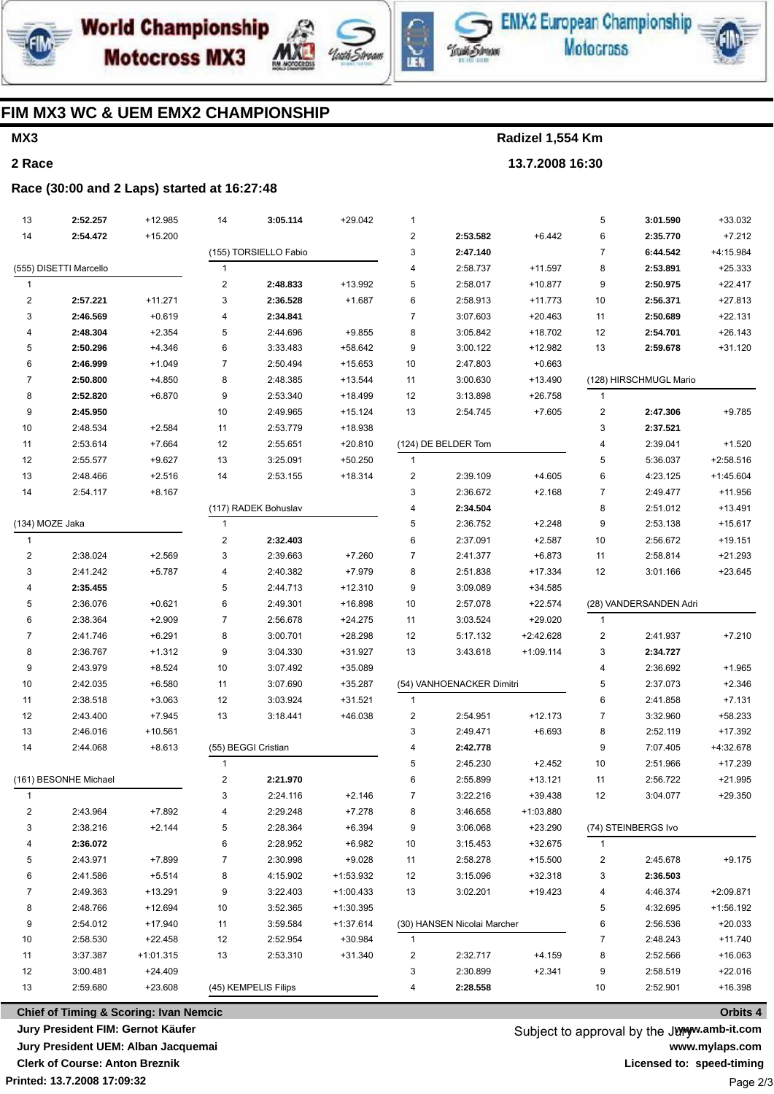





**EMX2 European Championship Motocross** 



## **FIM MX3 WC & UEM EMX2 CHAMPIONSHIP**

## **MX3**

**2 Race**

**Radizel 1,554 Km 13.7.2008 16:30**

#### **Race (30:00 and 2 Laps) started at 16:27:48**

| 13                      | 2:52.257               | +12.985              | 14             | 3:05.114              | $+29.042$   | 1                       |                             |             | 5                       | 3:01.590               | +33.032     |
|-------------------------|------------------------|----------------------|----------------|-----------------------|-------------|-------------------------|-----------------------------|-------------|-------------------------|------------------------|-------------|
| 14                      | 2:54.472               | $+15.200$            |                |                       |             | $\overline{\mathbf{c}}$ | 2:53.582                    | $+6.442$    | 6                       | 2:35.770               | $+7.212$    |
|                         |                        |                      |                | (155) TORSIELLO Fabio |             | 3                       | 2:47.140                    |             | $\overline{7}$          | 6:44.542               | +4:15.984   |
|                         | (555) DISETTI Marcello |                      | 1              |                       |             | 4                       | 2:58.737                    | $+11.597$   | 8                       | 2:53.891               | $+25.333$   |
| $\mathbf{1}$            |                        |                      | 2              | 2:48.833              | +13.992     | 5                       | 2:58.017                    | $+10.877$   | 9                       | 2:50.975               | $+22.417$   |
| $\overline{\mathbf{c}}$ | 2:57.221               | $+11.271$            | 3              | 2:36.528              | $+1.687$    | 6                       | 2:58.913                    | $+11.773$   | 10                      | 2:56.371               | $+27.813$   |
| 3                       | 2:46.569               | $+0.619$             | 4              | 2:34.841              |             | $\overline{7}$          | 3:07.603                    | $+20.463$   | 11                      | 2:50.689               | $+22.131$   |
| 4                       | 2:48.304               | $+2.354$             | 5              | 2:44.696              | $+9.855$    | 8                       | 3:05.842                    | $+18.702$   | 12                      | 2:54.701               | $+26.143$   |
| 5                       | 2:50.296               | $+4.346$             | 6              | 3:33.483              | +58.642     | 9                       | 3:00.122                    | $+12.982$   | 13                      | 2:59.678               | $+31.120$   |
| 6                       | 2:46.999               | $+1.049$             | $\overline{7}$ | 2:50.494              | $+15.653$   | 10                      | 2:47.803                    | $+0.663$    |                         |                        |             |
| 7                       | 2:50.800               | $+4.850$             | 8              | 2:48.385              | $+13.544$   | 11                      | 3:00.630                    | $+13.490$   |                         | (128) HIRSCHMUGL Mario |             |
| 8                       | 2:52.820               | $+6.870$             | 9              | 2:53.340              | +18.499     | 12                      | 3:13.898                    | $+26.758$   | $\mathbf{1}$            |                        |             |
| 9                       | 2:45.950               |                      | 10             | 2:49.965              | $+15.124$   | 13                      | 2:54.745                    | $+7.605$    | $\overline{\mathbf{c}}$ | 2:47.306               | $+9.785$    |
| 10                      | 2:48.534               | $+2.584$             | 11             | 2:53.779              | +18.938     |                         |                             |             | 3                       | 2:37.521               |             |
| 11                      | 2:53.614               | $+7.664$             | 12             | 2:55.651              | $+20.810$   |                         | (124) DE BELDER Tom         |             | $\overline{4}$          | 2:39.041               | $+1.520$    |
| 12                      | 2:55.577               | $+9.627$             | 13             | 3:25.091              | $+50.250$   | $\mathbf{1}$            |                             |             | 5                       | 5:36.037               | $+2:58.516$ |
| 13                      | 2:48.466               | $+2.516$             | 14             | 2:53.155              | +18.314     | $\overline{\mathbf{c}}$ | 2:39.109                    | $+4.605$    | 6                       | 4:23.125               | $+1:45.604$ |
| 14                      | 2:54.117               | $+8.167$             |                |                       |             | 3                       | 2:36.672                    | $+2.168$    | $\overline{7}$          | 2:49.477               | $+11.956$   |
|                         |                        |                      |                | (117) RADEK Bohuslav  |             | 4                       | 2:34.504                    |             | 8                       | 2:51.012               | $+13.491$   |
| (134) MOZE Jaka         |                        |                      | 1              |                       |             | 5                       | 2:36.752                    | $+2.248$    | 9                       | 2:53.138               | $+15.617$   |
| $\mathbf{1}$            |                        |                      | 2              | 2:32.403              |             | 6                       | 2:37.091                    | $+2.587$    | 10                      | 2:56.672               | $+19.151$   |
| 2                       | 2:38.024               | $+2.569$             | 3              | 2:39.663              | $+7.260$    | 7                       | 2:41.377                    | $+6.873$    | 11                      | 2:58.814               | $+21.293$   |
| 3                       | 2:41.242               | $+5.787$             | 4              | 2:40.382              | $+7.979$    | 8                       | 2:51.838                    | +17.334     | 12                      | 3:01.166               | $+23.645$   |
| 4                       | 2:35.455               |                      | 5              | 2:44.713              | $+12.310$   | 9                       | 3:09.089                    | +34.585     |                         |                        |             |
| 5                       | 2:36.076               | $+0.621$             | 6              | 2:49.301              | +16.898     | 10                      | 2:57.078                    | $+22.574$   |                         | (28) VANDERSANDEN Adri |             |
| 6                       | 2:38.364               | $+2.909$             | 7              | 2:56.678              | $+24.275$   | 11                      | 3:03.524                    | $+29.020$   | $\mathbf{1}$            |                        |             |
| $\overline{7}$          | 2:41.746               | $+6.291$             | 8              | 3:00.701              | +28.298     | 12                      | 5:17.132                    | +2:42.628   | $\overline{c}$          | 2:41.937               | $+7.210$    |
| 8                       | 2:36.767               | $+1.312$             | 9              | 3:04.330              | +31.927     | 13                      | 3:43.618                    | $+1:09.114$ | 3                       | 2:34.727               |             |
| 9                       | 2:43.979               | $+8.524$             | 10             | 3:07.492              | +35.089     |                         |                             |             | $\overline{4}$          | 2:36.692               | $+1.965$    |
| 10                      | 2:42.035               | $+6.580$             | 11             | 3:07.690              | $+35.287$   |                         | (54) VANHOENACKER Dimitri   |             | 5                       | 2:37.073               | $+2.346$    |
| 11                      | 2:38.518               | $+3.063$             | 12             | 3:03.924              | $+31.521$   | $\mathbf{1}$            |                             |             | 6                       | 2:41.858               | $+7.131$    |
| 12                      | 2:43.400               | $+7.945$             | 13             | 3:18.441              | +46.038     | 2                       | 2:54.951                    | $+12.173$   | $\overline{7}$          | 3:32.960               | +58.233     |
| 13                      | 2:46.016               | $+10.561$            |                |                       |             | 3                       | 2:49.471                    | $+6.693$    | 8                       | 2:52.119               | $+17.392$   |
| 14                      | 2:44.068               | $+8.613$             |                | (55) BEGGI Cristian   |             | 4                       | 2:42.778                    |             | 9                       | 7:07.405               | +4:32.678   |
|                         |                        |                      | 1              |                       |             | 5                       | 2:45.230                    | $+2.452$    | 10                      | 2:51.966               | $+17.239$   |
|                         | (161) BESONHE Michael  |                      | 2              | 2:21.970              |             | 6                       | 2:55.899                    | $+13.121$   | 11                      | 2:56.722               | $+21.995$   |
| 1                       |                        |                      | 3              | 2:24.116              | $+2.146$    |                         | 3:22.216                    | +39.438     | 12                      | 3:04.077               | $+29.350$   |
| 2                       | 2:43.964               | $+7.892$             | 4              | 2:29.248              | $+7.278$    | 8                       | 3:46.658                    | +1:03.880   |                         |                        |             |
| 3                       | 2:38.216               | $+2.144$             | 5              | 2:28.364              | $+6.394$    | 9                       | 3:06.068                    | $+23.290$   |                         | (74) STEINBERGS Ivo    |             |
| 4                       | 2:36.072               |                      | 6              | 2:28.952              | $+6.982$    | 10                      | 3:15.453                    | +32.675     | 1                       |                        |             |
| 5                       | 2:43.971               | $+7.899$             | 7              | 2:30.998              | $+9.028$    | 11                      | 2:58.278                    | $+15.500$   | 2                       | 2:45.678               | $+9.175$    |
| 6                       | 2:41.586               | $+5.514$             | 8              | 4:15.902              | +1:53.932   | 12                      | 3:15.096                    | $+32.318$   | 3                       | 2:36.503               |             |
| 7                       | 2:49.363               | $+13.291$            | 9              | 3:22.403              | $+1:00.433$ | 13                      | 3:02.201                    | +19.423     | 4                       | 4:46.374               | $+2:09.871$ |
| 8                       | 2:48.766               | $+12.694$            | 10             | 3:52.365              | $+1:30.395$ |                         |                             |             | 5                       | 4:32.695               | $+1:56.192$ |
| 9                       | 2:54.012               | +17.940              | 11             | 3:59.584              | $+1:37.614$ |                         | (30) HANSEN Nicolai Marcher |             | 6                       | 2:56.536               | $+20.033$   |
| 10                      | 2:58.530               | +22.458              | 12             | 2:52.954              | +30.984     | 1                       |                             |             | $\overline{7}$          | 2:48.243               | $+11.740$   |
| 11                      | 3:37.387               | $+1:01.315$          | 13             | 2:53.310              | $+31.340$   | 2                       | 2:32.717                    | $+4.159$    | 8                       | 2:52.566               | +16.063     |
| 12                      | 3:00.481               | $+24.409$            |                |                       |             | 3                       | 2:30.899                    | $+2.341$    | 9                       | 2:58.519               | $+22.016$   |
| 13                      | 2:59.680               | +23.608              |                |                       |             | 4                       | 2:28.558                    |             | 10                      | 2:52.901               | +16.398     |
|                         |                        | (45) KEMPELIS Filips |                |                       |             |                         |                             |             |                         |                        |             |

**Printed: 13.7.2008 17:09:32 Chief of Timing & Scoring: Ivan Nemcic Jury President FIM: Gernot Käufer Jury President UEM: Alban Jacquemai Clerk of Course: Anton Breznik**

Subject to approval by the Juryw.amb-it.com **www.mylaps.com Licensed to: speed-timing** Page 2/3

#### **Orbits 4**